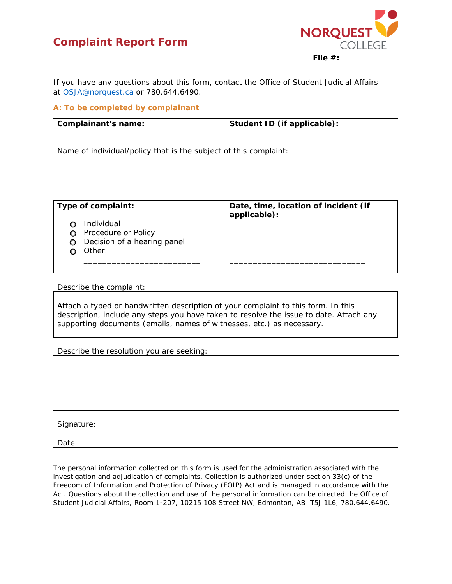## **Complaint Report Form**



If you have any questions about this form, contact the Office of Student Judicial Affairs at OSJA@norquest.ca or 780.644.6490.

## **A: To be completed by complainant**

| Complainant's name:                                              | Student ID (if applicable): |  |
|------------------------------------------------------------------|-----------------------------|--|
|                                                                  |                             |  |
| Name of individual/policy that is the subject of this complaint: |                             |  |
|                                                                  |                             |  |
|                                                                  |                             |  |

**Type of complaint: Date, time, location of incident (if applicable):** 

- o Individual
- **O** Procedure or Policy
- **O** Decision of a hearing panel
- o Other:

Describe the complaint:

Attach a typed or handwritten description of your complaint to this form. In this description, include any steps you have taken to resolve the issue to date. Attach any supporting documents (emails, names of witnesses, etc.) as necessary.

\_\_\_\_\_\_\_\_\_\_\_\_\_\_\_\_\_\_\_\_\_\_\_\_\_ \_\_\_\_\_\_\_\_\_\_\_\_\_\_\_\_\_\_\_\_\_\_\_\_\_\_\_\_\_

Describe the resolution you are seeking:

Signature:

Date:

The personal information collected on this form is used for the administration associated with the investigation and adjudication of complaints. Collection is authorized under section 33(c) of the *Freedom of Information and Protection of Privacy* (FOIP) *Act* and is managed in accordance with the Act. Questions about the collection and use of the personal information can be directed the Office of Student Judicial Affairs, Room 1-207, 10215 108 Street NW, Edmonton, AB T5J 1L6, 780.644.6490.